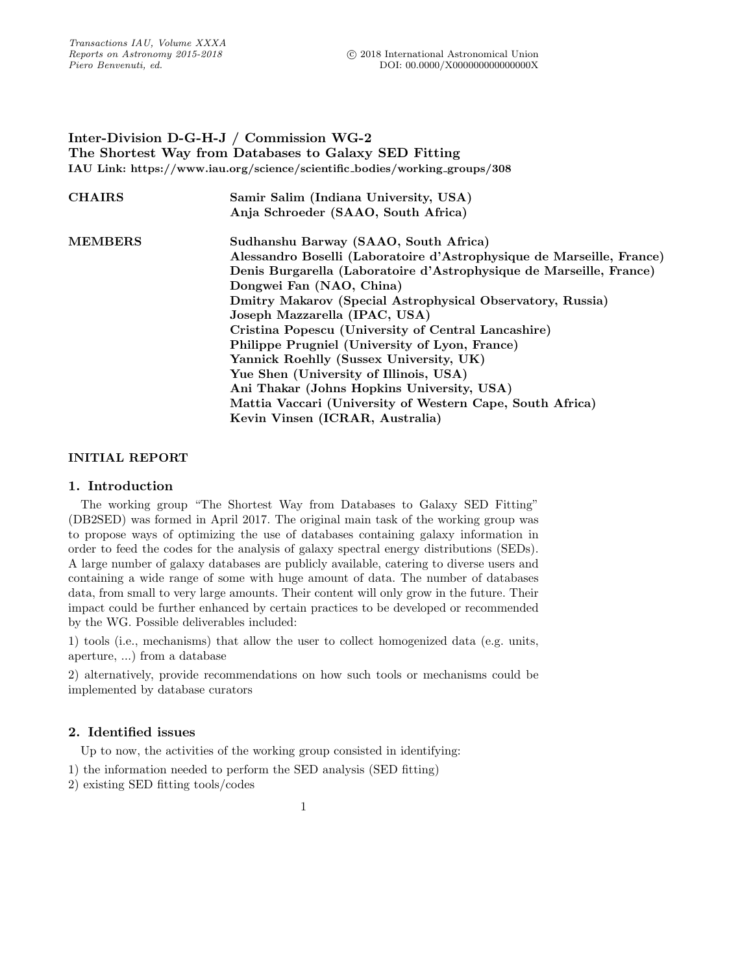# Inter-Division D-G-H-J / Commission WG-2 The Shortest Way from Databases to Galaxy SED Fitting IAU Link: https://www.iau.org/science/scientific bodies/working groups/308

| <b>CHAIRS</b>  | Samir Salim (Indiana University, USA)<br>Anja Schroeder (SAAO, South Africa)                                                                                                                                                                                                                                                                                                                                                                                                                                                                                                                                              |
|----------------|---------------------------------------------------------------------------------------------------------------------------------------------------------------------------------------------------------------------------------------------------------------------------------------------------------------------------------------------------------------------------------------------------------------------------------------------------------------------------------------------------------------------------------------------------------------------------------------------------------------------------|
| <b>MEMBERS</b> | Sudhanshu Barway (SAAO, South Africa)<br>Alessandro Boselli (Laboratoire d'Astrophysique de Marseille, France)<br>Denis Burgarella (Laboratoire d'Astrophysique de Marseille, France)<br>Dongwei Fan (NAO, China)<br>Dmitry Makarov (Special Astrophysical Observatory, Russia)<br>Joseph Mazzarella (IPAC, USA)<br>Cristina Popescu (University of Central Lancashire)<br>Philippe Prugniel (University of Lyon, France)<br>Yannick Roehlly (Sussex University, UK)<br>Yue Shen (University of Illinois, USA)<br>Ani Thakar (Johns Hopkins University, USA)<br>Mattia Vaccari (University of Western Cape, South Africa) |
|                | Kevin Vinsen (ICRAR, Australia)                                                                                                                                                                                                                                                                                                                                                                                                                                                                                                                                                                                           |

# INITIAL REPORT

## 1. Introduction

The working group "The Shortest Way from Databases to Galaxy SED Fitting" (DB2SED) was formed in April 2017. The original main task of the working group was to propose ways of optimizing the use of databases containing galaxy information in order to feed the codes for the analysis of galaxy spectral energy distributions (SEDs). A large number of galaxy databases are publicly available, catering to diverse users and containing a wide range of some with huge amount of data. The number of databases data, from small to very large amounts. Their content will only grow in the future. Their impact could be further enhanced by certain practices to be developed or recommended by the WG. Possible deliverables included:

1) tools (i.e., mechanisms) that allow the user to collect homogenized data (e.g. units, aperture, ...) from a database

2) alternatively, provide recommendations on how such tools or mechanisms could be implemented by database curators

## 2. Identified issues

Up to now, the activities of the working group consisted in identifying:

- 1) the information needed to perform the SED analysis (SED fitting)
- 2) existing SED fitting tools/codes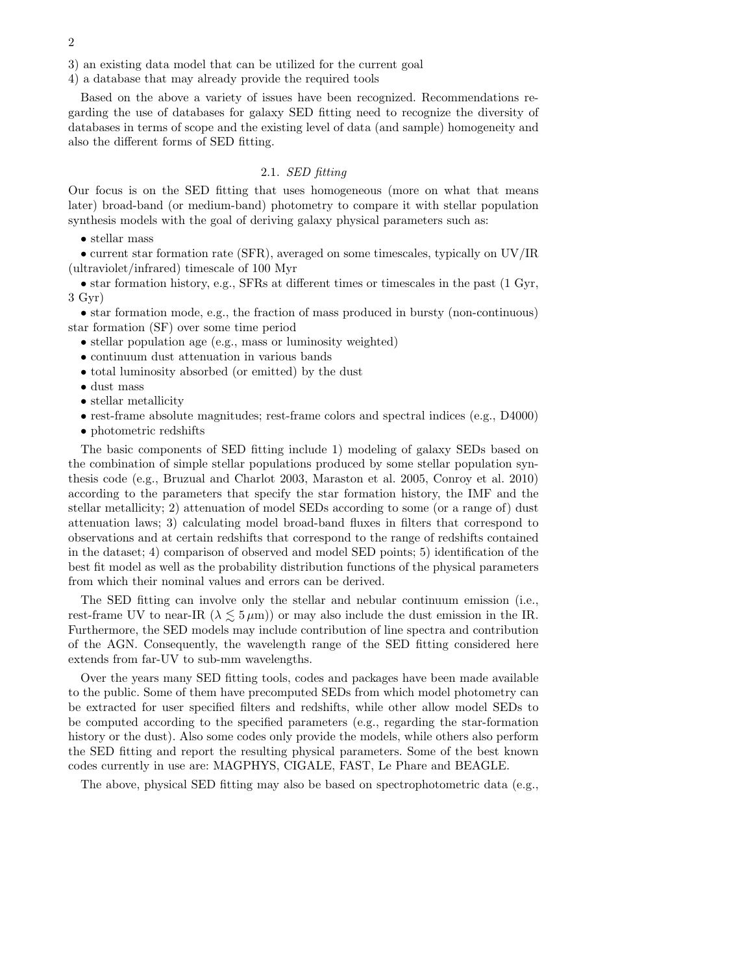3) an existing data model that can be utilized for the current goal

4) a database that may already provide the required tools

Based on the above a variety of issues have been recognized. Recommendations regarding the use of databases for galaxy SED fitting need to recognize the diversity of databases in terms of scope and the existing level of data (and sample) homogeneity and also the different forms of SED fitting.

## 2.1. SED fitting

Our focus is on the SED fitting that uses homogeneous (more on what that means later) broad-band (or medium-band) photometry to compare it with stellar population synthesis models with the goal of deriving galaxy physical parameters such as:

• stellar mass

• current star formation rate (SFR), averaged on some timescales, typically on UV/IR (ultraviolet/infrared) timescale of 100 Myr

 $\bullet$  star formation history, e.g., SFRs at different times or timescales in the past (1 Gyr, 3 Gyr)

• star formation mode, e.g., the fraction of mass produced in bursty (non-continuous) star formation (SF) over some time period

• stellar population age (e.g., mass or luminosity weighted)

- continuum dust attenuation in various bands
- total luminosity absorbed (or emitted) by the dust
- dust mass
- stellar metallicity
- rest-frame absolute magnitudes; rest-frame colors and spectral indices (e.g., D4000)
- photometric redshifts

The basic components of SED fitting include 1) modeling of galaxy SEDs based on the combination of simple stellar populations produced by some stellar population synthesis code (e.g., Bruzual and Charlot 2003, Maraston et al. 2005, Conroy et al. 2010) according to the parameters that specify the star formation history, the IMF and the stellar metallicity; 2) attenuation of model SEDs according to some (or a range of) dust attenuation laws; 3) calculating model broad-band fluxes in filters that correspond to observations and at certain redshifts that correspond to the range of redshifts contained in the dataset; 4) comparison of observed and model SED points; 5) identification of the best fit model as well as the probability distribution functions of the physical parameters from which their nominal values and errors can be derived.

The SED fitting can involve only the stellar and nebular continuum emission (i.e., rest-frame UV to near-IR  $(\lambda \leq 5 \,\mu\text{m})$  or may also include the dust emission in the IR. Furthermore, the SED models may include contribution of line spectra and contribution of the AGN. Consequently, the wavelength range of the SED fitting considered here extends from far-UV to sub-mm wavelengths.

Over the years many SED fitting tools, codes and packages have been made available to the public. Some of them have precomputed SEDs from which model photometry can be extracted for user specified filters and redshifts, while other allow model SEDs to be computed according to the specified parameters (e.g., regarding the star-formation history or the dust). Also some codes only provide the models, while others also perform the SED fitting and report the resulting physical parameters. Some of the best known codes currently in use are: MAGPHYS, CIGALE, FAST, Le Phare and BEAGLE.

The above, physical SED fitting may also be based on spectrophotometric data (e.g.,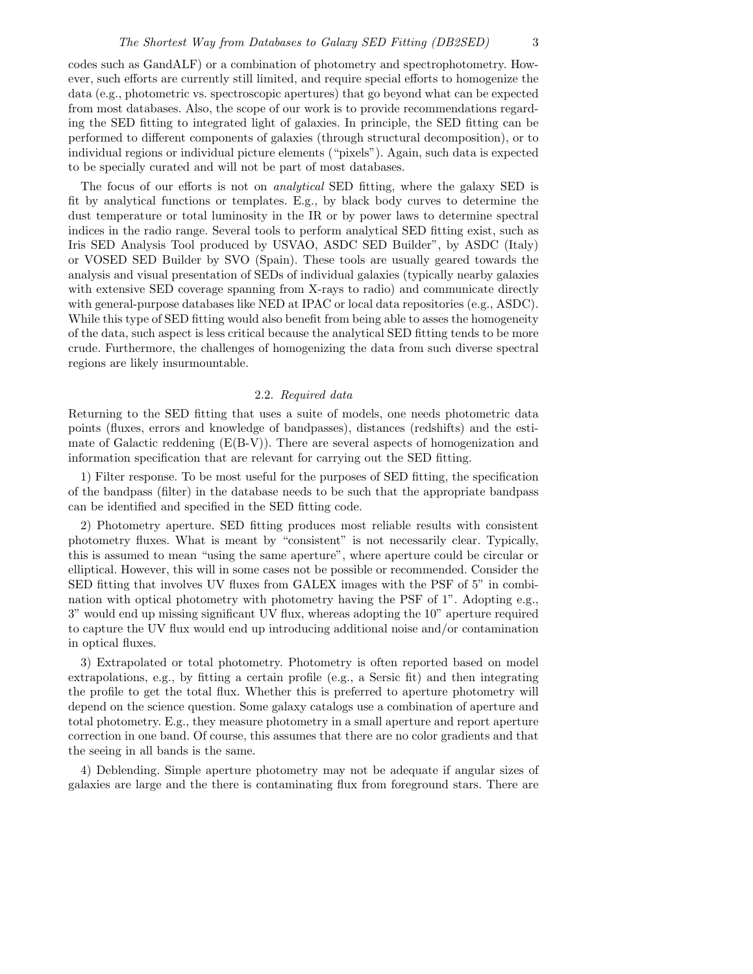codes such as GandALF) or a combination of photometry and spectrophotometry. However, such efforts are currently still limited, and require special efforts to homogenize the data (e.g., photometric vs. spectroscopic apertures) that go beyond what can be expected from most databases. Also, the scope of our work is to provide recommendations regarding the SED fitting to integrated light of galaxies. In principle, the SED fitting can be performed to different components of galaxies (through structural decomposition), or to individual regions or individual picture elements ("pixels"). Again, such data is expected to be specially curated and will not be part of most databases.

The focus of our efforts is not on analytical SED fitting, where the galaxy SED is fit by analytical functions or templates. E.g., by black body curves to determine the dust temperature or total luminosity in the IR or by power laws to determine spectral indices in the radio range. Several tools to perform analytical SED fitting exist, such as Iris SED Analysis Tool produced by USVAO, ASDC SED Builder", by ASDC (Italy) or VOSED SED Builder by SVO (Spain). These tools are usually geared towards the analysis and visual presentation of SEDs of individual galaxies (typically nearby galaxies with extensive SED coverage spanning from X-rays to radio) and communicate directly with general-purpose databases like NED at IPAC or local data repositories (e.g., ASDC). While this type of SED fitting would also benefit from being able to asses the homogeneity of the data, such aspect is less critical because the analytical SED fitting tends to be more crude. Furthermore, the challenges of homogenizing the data from such diverse spectral regions are likely insurmountable.

#### 2.2. Required data

Returning to the SED fitting that uses a suite of models, one needs photometric data points (fluxes, errors and knowledge of bandpasses), distances (redshifts) and the estimate of Galactic reddening  $(E(B-V))$ . There are several aspects of homogenization and information specification that are relevant for carrying out the SED fitting.

1) Filter response. To be most useful for the purposes of SED fitting, the specification of the bandpass (filter) in the database needs to be such that the appropriate bandpass can be identified and specified in the SED fitting code.

2) Photometry aperture. SED fitting produces most reliable results with consistent photometry fluxes. What is meant by "consistent" is not necessarily clear. Typically, this is assumed to mean "using the same aperture", where aperture could be circular or elliptical. However, this will in some cases not be possible or recommended. Consider the SED fitting that involves UV fluxes from GALEX images with the PSF of 5" in combination with optical photometry with photometry having the PSF of 1". Adopting e.g., 3" would end up missing significant UV flux, whereas adopting the 10" aperture required to capture the UV flux would end up introducing additional noise and/or contamination in optical fluxes.

3) Extrapolated or total photometry. Photometry is often reported based on model extrapolations, e.g., by fitting a certain profile (e.g., a Sersic fit) and then integrating the profile to get the total flux. Whether this is preferred to aperture photometry will depend on the science question. Some galaxy catalogs use a combination of aperture and total photometry. E.g., they measure photometry in a small aperture and report aperture correction in one band. Of course, this assumes that there are no color gradients and that the seeing in all bands is the same.

4) Deblending. Simple aperture photometry may not be adequate if angular sizes of galaxies are large and the there is contaminating flux from foreground stars. There are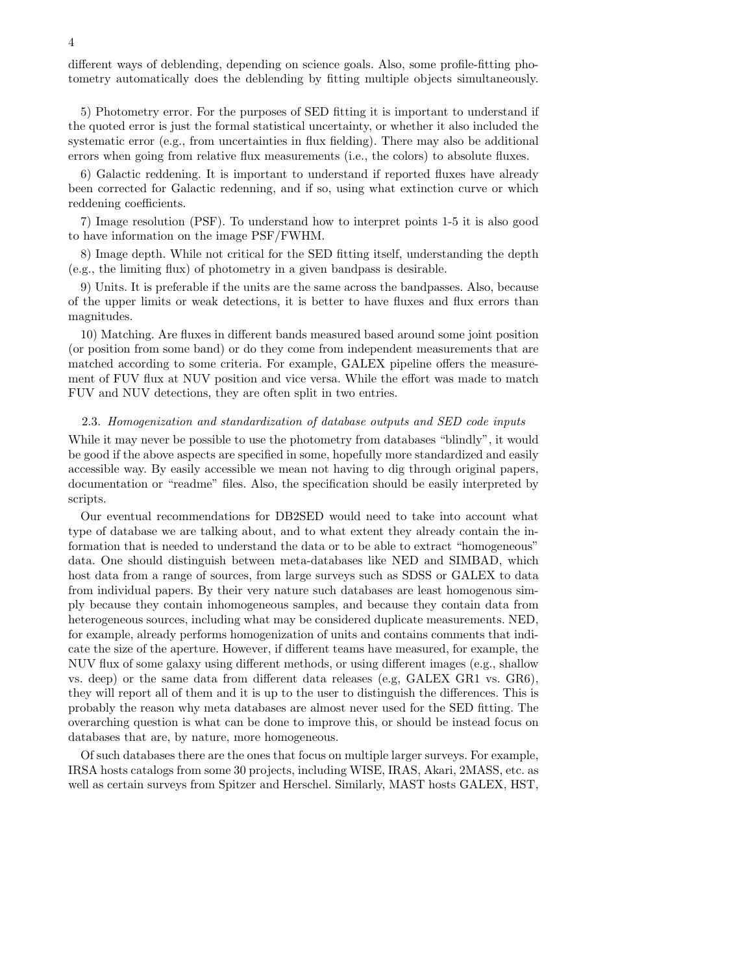different ways of deblending, depending on science goals. Also, some profile-fitting photometry automatically does the deblending by fitting multiple objects simultaneously.

5) Photometry error. For the purposes of SED fitting it is important to understand if the quoted error is just the formal statistical uncertainty, or whether it also included the systematic error (e.g., from uncertainties in flux fielding). There may also be additional errors when going from relative flux measurements (i.e., the colors) to absolute fluxes.

6) Galactic reddening. It is important to understand if reported fluxes have already been corrected for Galactic redenning, and if so, using what extinction curve or which reddening coefficients.

7) Image resolution (PSF). To understand how to interpret points 1-5 it is also good to have information on the image PSF/FWHM.

8) Image depth. While not critical for the SED fitting itself, understanding the depth (e.g., the limiting flux) of photometry in a given bandpass is desirable.

9) Units. It is preferable if the units are the same across the bandpasses. Also, because of the upper limits or weak detections, it is better to have fluxes and flux errors than magnitudes.

10) Matching. Are fluxes in different bands measured based around some joint position (or position from some band) or do they come from independent measurements that are matched according to some criteria. For example, GALEX pipeline offers the measurement of FUV flux at NUV position and vice versa. While the effort was made to match FUV and NUV detections, they are often split in two entries.

#### 2.3. Homogenization and standardization of database outputs and SED code inputs

While it may never be possible to use the photometry from databases "blindly", it would be good if the above aspects are specified in some, hopefully more standardized and easily accessible way. By easily accessible we mean not having to dig through original papers, documentation or "readme" files. Also, the specification should be easily interpreted by scripts.

Our eventual recommendations for DB2SED would need to take into account what type of database we are talking about, and to what extent they already contain the information that is needed to understand the data or to be able to extract "homogeneous" data. One should distinguish between meta-databases like NED and SIMBAD, which host data from a range of sources, from large surveys such as SDSS or GALEX to data from individual papers. By their very nature such databases are least homogenous simply because they contain inhomogeneous samples, and because they contain data from heterogeneous sources, including what may be considered duplicate measurements. NED, for example, already performs homogenization of units and contains comments that indicate the size of the aperture. However, if different teams have measured, for example, the NUV flux of some galaxy using different methods, or using different images (e.g., shallow vs. deep) or the same data from different data releases (e.g, GALEX GR1 vs. GR6), they will report all of them and it is up to the user to distinguish the differences. This is probably the reason why meta databases are almost never used for the SED fitting. The overarching question is what can be done to improve this, or should be instead focus on databases that are, by nature, more homogeneous.

Of such databases there are the ones that focus on multiple larger surveys. For example, IRSA hosts catalogs from some 30 projects, including WISE, IRAS, Akari, 2MASS, etc. as well as certain surveys from Spitzer and Herschel. Similarly, MAST hosts GALEX, HST,